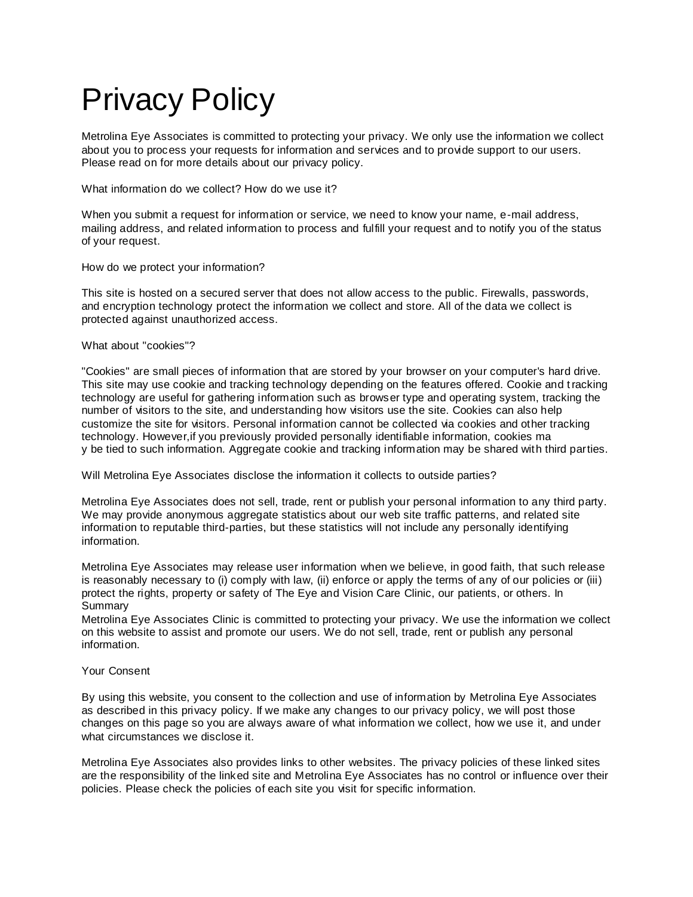## Privacy Policy

Metrolina Eye Associates is committed to protecting your privacy. We only use the information we collect about you to process your requests for information and services and to provide support to our users. Please read on for more details about our privacy policy.

What information do we collect? How do we use it?

When you submit a request for information or service, we need to know your name, e-mail address, mailing address, and related information to process and fulfill your request and to notify you of the status of your request.

How do we protect your information?

This site is hosted on a secured server that does not allow access to the public. Firewalls, passwords, and encryption technology protect the information we collect and store. All of the data we collect is protected against unauthorized access.

What about "cookies"?

"Cookies" are small pieces of information that are stored by your browser on your computer's hard drive. This site may use cookie and tracking technology depending on the features offered. Cookie and tracking technology are useful for gathering information such as browser type and operating system, tracking the number of visitors to the site, and understanding how visitors use the site. Cookies can also help customize the site for visitors. Personal information cannot be collected via cookies and other tracking technology. However,if you previously provided personally identifiable information, cookies ma y be tied to such information. Aggregate cookie and tracking information may be shared with third parties.

Will Metrolina Eye Associates disclose the information it collects to outside parties?

Metrolina Eye Associates does not sell, trade, rent or publish your personal information to any third party. We may provide anonymous aggregate statistics about our web site traffic patterns, and related site information to reputable third-parties, but these statistics will not include any personally identifying information.

Metrolina Eye Associates may release user information when we believe, in good faith, that such release is reasonably necessary to (i) comply with law, (ii) enforce or apply the terms of any of our policies or (iii) protect the rights, property or safety of The Eye and Vision Care Clinic, our patients, or others. In Summary

Metrolina Eye Associates Clinic is committed to protecting your privacy. We use the information we collect on this website to assist and promote our users. We do not sell, trade, rent or publish any personal information.

## Your Consent

By using this website, you consent to the collection and use of information by Metrolina Eye Associates as described in this privacy policy. If we make any changes to our privacy policy, we will post those changes on this page so you are always aware of what information we collect, how we use it, and under what circumstances we disclose it.

Metrolina Eye Associates also provides links to other websites. The privacy policies of these linked sites are the responsibility of the linked site and Metrolina Eye Associates has no control or influence over their policies. Please check the policies of each site you visit for specific information.